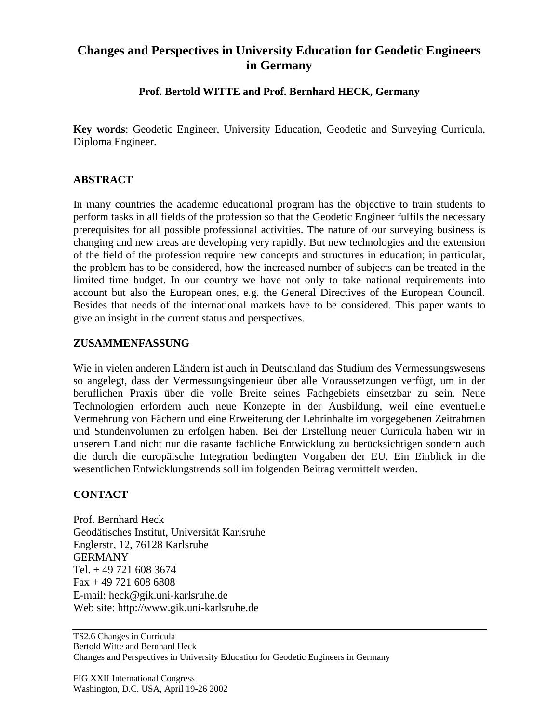# **Changes and Perspectives in University Education for Geodetic Engineers in Germany**

## **Prof. Bertold WITTE and Prof. Bernhard HECK, Germany**

**Key words**: Geodetic Engineer, University Education, Geodetic and Surveying Curricula, Diploma Engineer.

### **ABSTRACT**

In many countries the academic educational program has the objective to train students to perform tasks in all fields of the profession so that the Geodetic Engineer fulfils the necessary prerequisites for all possible professional activities. The nature of our surveying business is changing and new areas are developing very rapidly. But new technologies and the extension of the field of the profession require new concepts and structures in education; in particular, the problem has to be considered, how the increased number of subjects can be treated in the limited time budget. In our country we have not only to take national requirements into account but also the European ones, e.g. the General Directives of the European Council. Besides that needs of the international markets have to be considered. This paper wants to give an insight in the current status and perspectives.

#### **ZUSAMMENFASSUNG**

Wie in vielen anderen Ländern ist auch in Deutschland das Studium des Vermessungswesens so angelegt, dass der Vermessungsingenieur über alle Voraussetzungen verfügt, um in der beruflichen Praxis über die volle Breite seines Fachgebiets einsetzbar zu sein. Neue Technologien erfordern auch neue Konzepte in der Ausbildung, weil eine eventuelle Vermehrung von Fächern und eine Erweiterung der Lehrinhalte im vorgegebenen Zeitrahmen und Stundenvolumen zu erfolgen haben. Bei der Erstellung neuer Curricula haben wir in unserem Land nicht nur die rasante fachliche Entwicklung zu berücksichtigen sondern auch die durch die europäische Integration bedingten Vorgaben der EU. Ein Einblick in die wesentlichen Entwicklungstrends soll im folgenden Beitrag vermittelt werden.

## **CONTACT**

Prof. Bernhard Heck Geodätisches Institut, Universität Karlsruhe Englerstr, 12, 76128 Karlsruhe GERMANY Tel. + 49 721 608 3674 Fax + 49 721 608 6808 E-mail: heck@gik.uni-karlsruhe.de Web site: http://www.gik.uni-karlsruhe.de

TS2.6 Changes in Curricula Bertold Witte and Bernhard Heck Changes and Perspectives in University Education for Geodetic Engineers in Germany